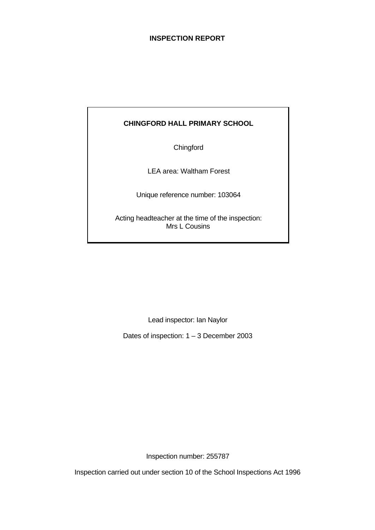## **INSPECTION REPORT**

## **CHINGFORD HALL PRIMARY SCHOOL**

**Chingford** 

LEA area: Waltham Forest

Unique reference number: 103064

Acting headteacher at the time of the inspection: Mrs L Cousins

Lead inspector: Ian Naylor

Dates of inspection: 1 – 3 December 2003

Inspection number: 255787

Inspection carried out under section 10 of the School Inspections Act 1996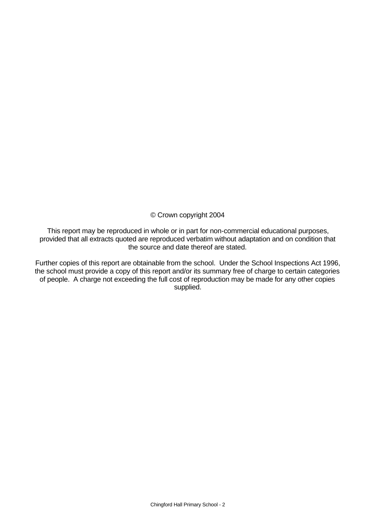© Crown copyright 2004

This report may be reproduced in whole or in part for non-commercial educational purposes, provided that all extracts quoted are reproduced verbatim without adaptation and on condition that the source and date thereof are stated.

Further copies of this report are obtainable from the school. Under the School Inspections Act 1996, the school must provide a copy of this report and/or its summary free of charge to certain categories of people. A charge not exceeding the full cost of reproduction may be made for any other copies supplied.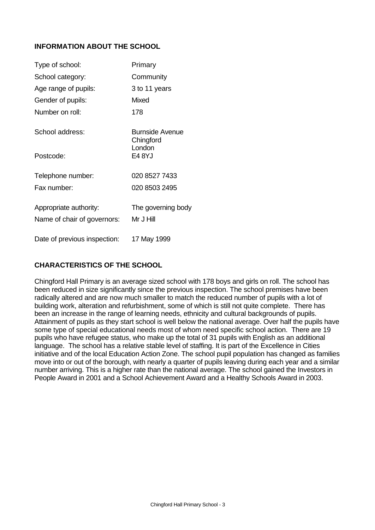## **INFORMATION ABOUT THE SCHOOL**

| Type of school:              | Primary                      |
|------------------------------|------------------------------|
| School category:             | Community                    |
| Age range of pupils:         | 3 to 11 years                |
| Gender of pupils:            | <b>Mixed</b>                 |
| Number on roll:              | 178                          |
| School address:              | Burnside Avenue<br>Chingford |
| Postcode:                    | London<br>E4 8YJ             |
| Telephone number:            | 020 8527 7433                |
| Fax number:                  | 020 8503 2495                |
| Appropriate authority:       | The governing body           |
| Name of chair of governors:  | Mr J Hill                    |
| Date of previous inspection: | 17 May 1999                  |

## **CHARACTERISTICS OF THE SCHOOL**

Chingford Hall Primary is an average sized school with 178 boys and girls on roll. The school has been reduced in size significantly since the previous inspection. The school premises have been radically altered and are now much smaller to match the reduced number of pupils with a lot of building work, alteration and refurbishment, some of which is still not quite complete. There has been an increase in the range of learning needs, ethnicity and cultural backgrounds of pupils. Attainment of pupils as they start school is well below the national average. Over half the pupils have some type of special educational needs most of whom need specific school action. There are 19 pupils who have refugee status, who make up the total of 31 pupils with English as an additional language. The school has a relative stable level of staffing. It is part of the Excellence in Cities initiative and of the local Education Action Zone. The school pupil population has changed as families move into or out of the borough, with nearly a quarter of pupils leaving during each year and a similar number arriving. This is a higher rate than the national average. The school gained the Investors in People Award in 2001 and a School Achievement Award and a Healthy Schools Award in 2003.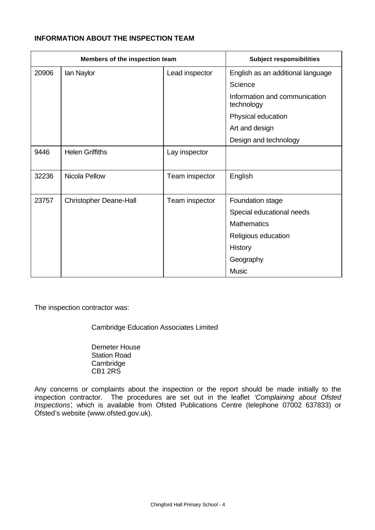## **INFORMATION ABOUT THE INSPECTION TEAM**

| Members of the inspection team |                               | <b>Subject responsibilities</b> |                                             |
|--------------------------------|-------------------------------|---------------------------------|---------------------------------------------|
| 20906                          | lan Naylor                    | Lead inspector                  | English as an additional language           |
|                                |                               |                                 | Science                                     |
|                                |                               |                                 | Information and communication<br>technology |
|                                |                               |                                 | Physical education                          |
|                                |                               |                                 | Art and design                              |
|                                |                               |                                 | Design and technology                       |
| 9446                           | <b>Helen Griffiths</b>        | Lay inspector                   |                                             |
|                                |                               |                                 |                                             |
| 32236                          | Nicola Pellow                 | Team inspector                  | English                                     |
|                                |                               |                                 |                                             |
| 23757                          | <b>Christopher Deane-Hall</b> | Team inspector                  | Foundation stage                            |
|                                |                               |                                 | Special educational needs                   |
|                                |                               |                                 | <b>Mathematics</b>                          |
|                                |                               |                                 | Religious education                         |
|                                |                               |                                 | History                                     |
|                                |                               |                                 | Geography                                   |
|                                |                               |                                 | <b>Music</b>                                |

The inspection contractor was:

Cambridge Education Associates Limited

Demeter House Station Road **Cambridge** CB1 2RS

Any concerns or complaints about the inspection or the report should be made initially to the inspection contractor. The procedures are set out in the leaflet *'Complaining about Ofsted Inspections'*, which is available from Ofsted Publications Centre (telephone 07002 637833) or Ofsted's website (www.ofsted.gov.uk).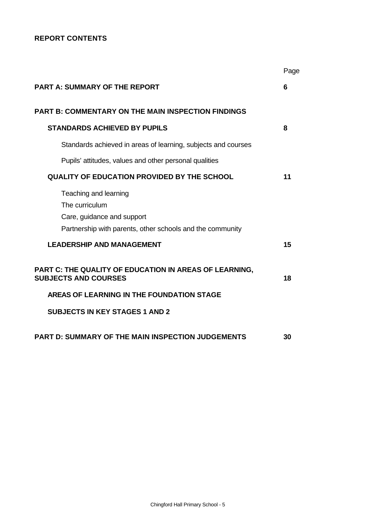## **REPORT CONTENTS**

|                                                                                                                                    | Page |
|------------------------------------------------------------------------------------------------------------------------------------|------|
| <b>PART A: SUMMARY OF THE REPORT</b>                                                                                               | 6    |
| <b>PART B: COMMENTARY ON THE MAIN INSPECTION FINDINGS</b>                                                                          |      |
| <b>STANDARDS ACHIEVED BY PUPILS</b>                                                                                                | 8    |
| Standards achieved in areas of learning, subjects and courses                                                                      |      |
| Pupils' attitudes, values and other personal qualities                                                                             |      |
| <b>QUALITY OF EDUCATION PROVIDED BY THE SCHOOL</b>                                                                                 | 11   |
| Teaching and learning<br>The curriculum<br>Care, guidance and support<br>Partnership with parents, other schools and the community |      |
| <b>LEADERSHIP AND MANAGEMENT</b>                                                                                                   | 15   |
| PART C: THE QUALITY OF EDUCATION IN AREAS OF LEARNING,<br><b>SUBJECTS AND COURSES</b>                                              | 18   |
| AREAS OF LEARNING IN THE FOUNDATION STAGE                                                                                          |      |
| <b>SUBJECTS IN KEY STAGES 1 AND 2</b>                                                                                              |      |
| <b>PART D: SUMMARY OF THE MAIN INSPECTION JUDGEMENTS</b>                                                                           | 30   |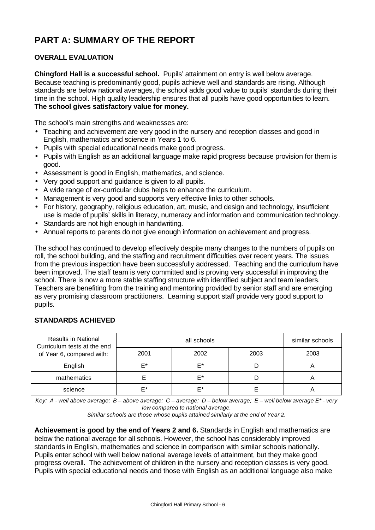# **PART A: SUMMARY OF THE REPORT**

## **OVERALL EVALUATION**

**Chingford Hall is a successful school.** Pupils' attainment on entry is well below average. Because teaching is predominantly good, pupils achieve well and standards are rising. Although standards are below national averages, the school adds good value to pupils' standards during their time in the school. High quality leadership ensures that all pupils have good opportunities to learn. **The school gives satisfactory value for money.**

The school's main strengths and weaknesses are:

- Teaching and achievement are very good in the nursery and reception classes and good in English, mathematics and science in Years 1 to 6.
- Pupils with special educational needs make good progress.
- Pupils with English as an additional language make rapid progress because provision for them is good.
- Assessment is good in English, mathematics, and science.
- Very good support and guidance is given to all pupils.
- A wide range of ex-curricular clubs helps to enhance the curriculum.
- Management is very good and supports very effective links to other schools.
- For history, geography, religious education, art, music, and design and technology, insufficient use is made of pupils' skills in literacy, numeracy and information and communication technology.
- Standards are not high enough in handwriting.
- Annual reports to parents do not give enough information on achievement and progress.

The school has continued to develop effectively despite many changes to the numbers of pupils on roll, the school building, and the staffing and recruitment difficulties over recent years. The issues from the previous inspection have been successfully addressed. Teaching and the curriculum have been improved. The staff team is very committed and is proving very successful in improving the school. There is now a more stable staffing structure with identified subject and team leaders. Teachers are benefiting from the training and mentoring provided by senior staff and are emerging as very promising classroom practitioners. Learning support staff provide very good support to pupils.

| <b>Results in National</b><br>Curriculum tests at the end |      | similar schools |      |      |
|-----------------------------------------------------------|------|-----------------|------|------|
| of Year 6, compared with:                                 | 2001 | 2002            | 2003 | 2003 |
| English                                                   | F*   | F*              |      |      |
| mathematics                                               |      | F*              |      |      |
| science                                                   | ⊏∗   | F*              |      |      |

## **STANDARDS ACHIEVED**

*Key: A - well above average; B – above average; C – average; D – below average; E – well below average E\* - very low compared to national average.*

*Similar schools are those whose pupils attained similarly at the end of Year 2.*

**Achievement is good by the end of Years 2 and 6.** Standards in English and mathematics are below the national average for all schools. However, the school has considerably improved standards in English, mathematics and science in comparison with similar schools nationally. Pupils enter school with well below national average levels of attainment, but they make good progress overall. The achievement of children in the nursery and reception classes is very good. Pupils with special educational needs and those with English as an additional language also make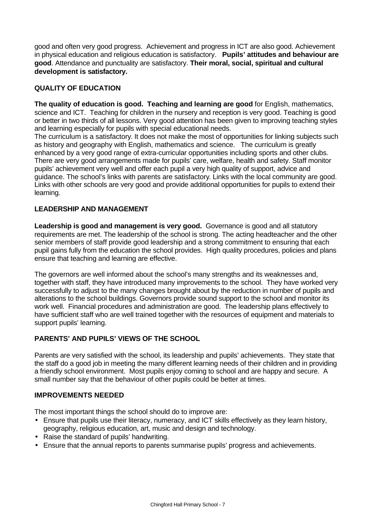good and often very good progress. Achievement and progress in ICT are also good. Achievement in physical education and religious education is satisfactory. **Pupils' attitudes and behaviour are good**. Attendance and punctuality are satisfactory. **Their moral, social, spiritual and cultural development is satisfactory.**

## **QUALITY OF EDUCATION**

**The quality of education is good. Teaching and learning are good** for English, mathematics, science and ICT. Teaching for children in the nursery and reception is very good. Teaching is good or better in two thirds of all lessons. Very good attention has been given to improving teaching styles and learning especially for pupils with special educational needs.

The curriculum is a satisfactory. It does not make the most of opportunities for linking subjects such as history and geography with English, mathematics and science. The curriculum is greatly enhanced by a very good range of extra-curricular opportunities including sports and other clubs. There are very good arrangements made for pupils' care, welfare, health and safety. Staff monitor pupils' achievement very well and offer each pupil a very high quality of support, advice and guidance. The school's links with parents are satisfactory. Links with the local community are good. Links with other schools are very good and provide additional opportunities for pupils to extend their learning.

## **LEADERSHIP AND MANAGEMENT**

**Leadership is good and management is very good.** Governance is good and all statutory requirements are met. The leadership of the school is strong. The acting headteacher and the other senior members of staff provide good leadership and a strong commitment to ensuring that each pupil gains fully from the education the school provides. High quality procedures, policies and plans ensure that teaching and learning are effective.

The governors are well informed about the school's many strengths and its weaknesses and, together with staff, they have introduced many improvements to the school. They have worked very successfully to adjust to the many changes brought about by the reduction in number of pupils and alterations to the school buildings. Governors provide sound support to the school and monitor its work well. Financial procedures and administration are good. The leadership plans effectively to have sufficient staff who are well trained together with the resources of equipment and materials to support pupils' learning.

## **PARENTS' AND PUPILS' VIEWS OF THE SCHOOL**

Parents are very satisfied with the school, its leadership and pupils' achievements. They state that the staff do a good job in meeting the many different learning needs of their children and in providing a friendly school environment. Most pupils enjoy coming to school and are happy and secure. A small number say that the behaviour of other pupils could be better at times.

## **IMPROVEMENTS NEEDED**

The most important things the school should do to improve are:

- Ensure that pupils use their literacy, numeracy, and ICT skills effectively as they learn history, geography, religious education, art, music and design and technology.
- Raise the standard of pupils' handwriting.
- Ensure that the annual reports to parents summarise pupils' progress and achievements.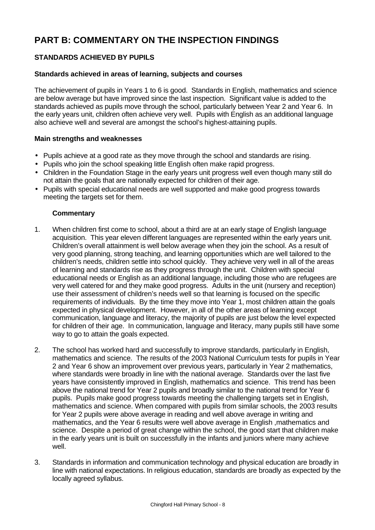# **PART B: COMMENTARY ON THE INSPECTION FINDINGS**

## **STANDARDS ACHIEVED BY PUPILS**

## **Standards achieved in areas of learning, subjects and courses**

The achievement of pupils in Years 1 to 6 is good. Standards in English, mathematics and science are below average but have improved since the last inspection. Significant value is added to the standards achieved as pupils move through the school, particularly between Year 2 and Year 6. In the early years unit, children often achieve very well. Pupils with English as an additional language also achieve well and several are amongst the school's highest-attaining pupils.

## **Main strengths and weaknesses**

- Pupils achieve at a good rate as they move through the school and standards are rising.
- Pupils who join the school speaking little English often make rapid progress.
- Children in the Foundation Stage in the early years unit progress well even though many still do not attain the goals that are nationally expected for children of their age.
- Pupils with special educational needs are well supported and make good progress towards meeting the targets set for them.

- 1. When children first come to school, about a third are at an early stage of English language acquisition. This year eleven different languages are represented within the early years unit. Children's overall attainment is well below average when they join the school. As a result of very good planning, strong teaching, and learning opportunities which are well tailored to the children's needs, children settle into school quickly. They achieve very well in all of the areas of learning and standards rise as they progress through the unit. Children with special educational needs or English as an additional language, including those who are refugees are very well catered for and they make good progress. Adults in the unit (nursery and reception) use their assessment of children's needs well so that learning is focused on the specific requirements of individuals. By the time they move into Year 1, most children attain the goals expected in physical development. However, in all of the other areas of learning except communication, language and literacy, the majority of pupils are just below the level expected for children of their age. In communication, language and literacy, many pupils still have some way to go to attain the goals expected.
- 2. The school has worked hard and successfully to improve standards, particularly in English, mathematics and science. The results of the 2003 National Curriculum tests for pupils in Year 2 and Year 6 show an improvement over previous years, particularly in Year 2 mathematics, where standards were broadly in line with the national average. Standards over the last five years have consistently improved in English, mathematics and science. This trend has been above the national trend for Year 2 pupils and broadly similar to the national trend for Year 6 pupils. Pupils make good progress towards meeting the challenging targets set in English, mathematics and science. When compared with pupils from similar schools, the 2003 results for Year 2 pupils were above average in reading and well above average in writing and mathematics, and the Year 6 results were well above average in English ,mathematics and science. Despite a period of great change within the school, the good start that children make in the early years unit is built on successfully in the infants and juniors where many achieve well.
- 3. Standards in information and communication technology and physical education are broadly in line with national expectations. In religious education, standards are broadly as expected by the locally agreed syllabus.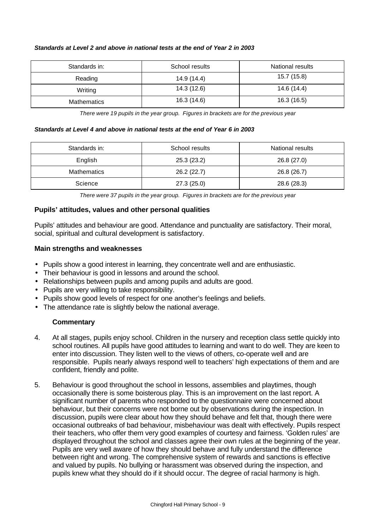| Standards in:      | School results | National results |
|--------------------|----------------|------------------|
| Reading            | 14.9 (14.4)    | 15.7 (15.8)      |
| Writing            | 14.3 (12.6)    | 14.6 (14.4)      |
| <b>Mathematics</b> | 16.3 (14.6)    | 16.3 (16.5)      |

#### *Standards at Level 2 and above in national tests at the end of Year 2 in 2003*

*There were 19 pupils in the year group. Figures in brackets are for the previous year*

#### *Standards at Level 4 and above in national tests at the end of Year 6 in 2003*

| Standards in: | School results | National results |
|---------------|----------------|------------------|
| English       | 25.3(23.2)     | 26.8 (27.0)      |
| Mathematics   | 26.2(22.7)     | 26.8 (26.7)      |
| Science       | 27.3(25.0)     | 28.6 (28.3)      |

*There were 37 pupils in the year group. Figures in brackets are for the previous year*

#### **Pupils' attitudes, values and other personal qualities**

Pupils' attitudes and behaviour are good. Attendance and punctuality are satisfactory. Their moral, social, spiritual and cultural development is satisfactory.

#### **Main strengths and weaknesses**

- Pupils show a good interest in learning, they concentrate well and are enthusiastic.
- Their behaviour is good in lessons and around the school.
- Relationships between pupils and among pupils and adults are good.
- Pupils are very willing to take responsibility.
- Pupils show good levels of respect for one another's feelings and beliefs.
- The attendance rate is slightly below the national average.

- 4. At all stages, pupils enjoy school. Children in the nursery and reception class settle quickly into school routines. All pupils have good attitudes to learning and want to do well. They are keen to enter into discussion. They listen well to the views of others, co-operate well and are responsible. Pupils nearly always respond well to teachers' high expectations of them and are confident, friendly and polite.
- 5. Behaviour is good throughout the school in lessons, assemblies and playtimes, though occasionally there is some boisterous play. This is an improvement on the last report. A significant number of parents who responded to the questionnaire were concerned about behaviour, but their concerns were not borne out by observations during the inspection. In discussion, pupils were clear about how they should behave and felt that, though there were occasional outbreaks of bad behaviour, misbehaviour was dealt with effectively. Pupils respect their teachers, who offer them very good examples of courtesy and fairness. 'Golden rules' are displayed throughout the school and classes agree their own rules at the beginning of the year. Pupils are very well aware of how they should behave and fully understand the difference between right and wrong. The comprehensive system of rewards and sanctions is effective and valued by pupils. No bullying or harassment was observed during the inspection, and pupils knew what they should do if it should occur. The degree of racial harmony is high.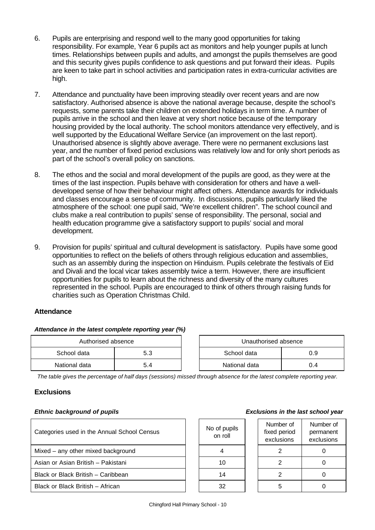- 6. Pupils are enterprising and respond well to the many good opportunities for taking responsibility. For example, Year 6 pupils act as monitors and help younger pupils at lunch times. Relationships between pupils and adults, and amongst the pupils themselves are good and this security gives pupils confidence to ask questions and put forward their ideas. Pupils are keen to take part in school activities and participation rates in extra-curricular activities are high.
- 7. Attendance and punctuality have been improving steadily over recent years and are now satisfactory. Authorised absence is above the national average because, despite the school's requests, some parents take their children on extended holidays in term time. A number of pupils arrive in the school and then leave at very short notice because of the temporary housing provided by the local authority. The school monitors attendance very effectively, and is well supported by the Educational Welfare Service (an improvement on the last report). Unauthorised absence is slightly above average. There were no permanent exclusions last year, and the number of fixed period exclusions was relatively low and for only short periods as part of the school's overall policy on sanctions.
- 8. The ethos and the social and moral development of the pupils are good, as they were at the times of the last inspection. Pupils behave with consideration for others and have a welldeveloped sense of how their behaviour might affect others. Attendance awards for individuals and classes encourage a sense of community. In discussions, pupils particularly liked the atmosphere of the school: one pupil said, "We're excellent children". The school council and clubs make a real contribution to pupils' sense of responsibility. The personal, social and health education programme give a satisfactory support to pupils' social and moral development.
- 9. Provision for pupils' spiritual and cultural development is satisfactory. Pupils have some good opportunities to reflect on the beliefs of others through religious education and assemblies, such as an assembly during the inspection on Hinduism. Pupils celebrate the festivals of Eid and Divali and the local vicar takes assembly twice a term. However, there are insufficient opportunities for pupils to learn about the richness and diversity of the many cultures represented in the school. Pupils are encouraged to think of others through raising funds for charities such as Operation Christmas Child.

## **Attendance**

#### *Attendance in the latest complete reporting year (%)*

| Authorised absence |     | Unauthorised absence |     |
|--------------------|-----|----------------------|-----|
| School data        | 5.3 | School data          |     |
| National data      | 5.4 | National data        | 0.4 |

| Unauthorised absence |     |  |  |  |
|----------------------|-----|--|--|--|
| School data<br>ი 9   |     |  |  |  |
| National data        | በ 4 |  |  |  |

*The table gives the percentage of half days (sessions) missed through absence for the latest complete reporting year.*

## **Exclusions**

| Categories used in the Annual School Census | No of pupils<br>on roll | Number of<br>fixed period<br>exclusions | Numb<br>perma<br>exclus |
|---------------------------------------------|-------------------------|-----------------------------------------|-------------------------|
| Mixed – any other mixed background          |                         |                                         |                         |
| Asian or Asian British - Pakistani          | 10                      |                                         |                         |
| Black or Black British - Caribbean          | 14                      |                                         |                         |
| Black or Black British - African            | 32                      |                                         |                         |

#### *Ethnic background of pupils Exclusions in the last school year*

| Number of<br>fixed period<br>exclusions | Number of<br>permanent<br>exclusions |
|-----------------------------------------|--------------------------------------|
| 2                                       | 0                                    |
| 2                                       | O                                    |
| 2                                       | Ω                                    |
|                                         |                                      |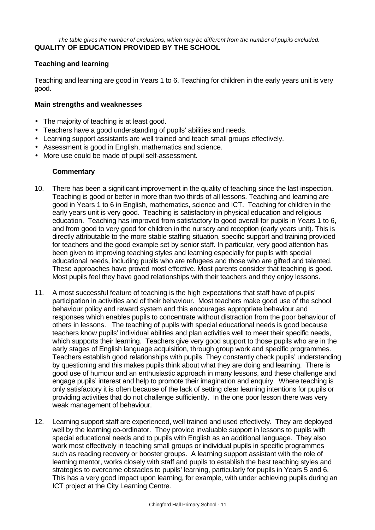#### *The table gives the number of exclusions, which may be different from the number of pupils excluded.* **QUALITY OF EDUCATION PROVIDED BY THE SCHOOL**

## **Teaching and learning**

Teaching and learning are good in Years 1 to 6. Teaching for children in the early years unit is very good.

#### **Main strengths and weaknesses**

- The majority of teaching is at least good.
- Teachers have a good understanding of pupils' abilities and needs.
- Learning support assistants are well trained and teach small groups effectively.
- Assessment is good in English, mathematics and science.
- More use could be made of pupil self-assessment.

- 10. There has been a significant improvement in the quality of teaching since the last inspection. Teaching is good or better in more than two thirds of all lessons. Teaching and learning are good in Years 1 to 6 in English, mathematics, science and ICT. Teaching for children in the early years unit is very good. Teaching is satisfactory in physical education and religious education. Teaching has improved from satisfactory to good overall for pupils in Years 1 to 6, and from good to very good for children in the nursery and reception (early years unit). This is directly attributable to the more stable staffing situation, specific support and training provided for teachers and the good example set by senior staff. In particular, very good attention has been given to improving teaching styles and learning especially for pupils with special educational needs, including pupils who are refugees and those who are gifted and talented. These approaches have proved most effective. Most parents consider that teaching is good. Most pupils feel they have good relationships with their teachers and they enjoy lessons.
- 11. A most successful feature of teaching is the high expectations that staff have of pupils' participation in activities and of their behaviour. Most teachers make good use of the school behaviour policy and reward system and this encourages appropriate behaviour and responses which enables pupils to concentrate without distraction from the poor behaviour of others in lessons. The teaching of pupils with special educational needs is good because teachers know pupils' individual abilities and plan activities well to meet their specific needs, which supports their learning. Teachers give very good support to those pupils who are in the early stages of English language acquisition, through group work and specific programmes. Teachers establish good relationships with pupils. They constantly check pupils' understanding by questioning and this makes pupils think about what they are doing and learning. There is good use of humour and an enthusiastic approach in many lessons, and these challenge and engage pupils' interest and help to promote their imagination and enquiry. Where teaching is only satisfactory it is often because of the lack of setting clear learning intentions for pupils or providing activities that do not challenge sufficiently. In the one poor lesson there was very weak management of behaviour.
- 12. Learning support staff are experienced, well trained and used effectively. They are deployed well by the learning co-ordinator. They provide invaluable support in lessons to pupils with special educational needs and to pupils with English as an additional language. They also work most effectively in teaching small groups or individual pupils in specific programmes such as reading recovery or booster groups. A learning support assistant with the role of learning mentor, works closely with staff and pupils to establish the best teaching styles and strategies to overcome obstacles to pupils' learning, particularly for pupils in Years 5 and 6. This has a very good impact upon learning, for example, with under achieving pupils during an ICT project at the City Learning Centre.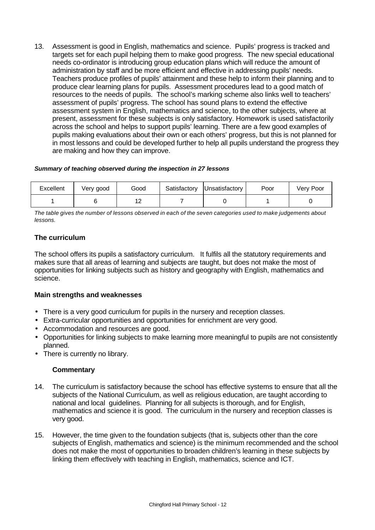13. Assessment is good in English, mathematics and science. Pupils' progress is tracked and targets set for each pupil helping them to make good progress. The new special educational needs co-ordinator is introducing group education plans which will reduce the amount of administration by staff and be more efficient and effective in addressing pupils' needs. Teachers produce profiles of pupils' attainment and these help to inform their planning and to produce clear learning plans for pupils. Assessment procedures lead to a good match of resources to the needs of pupils. The school's marking scheme also links well to teachers' assessment of pupils' progress. The school has sound plans to extend the effective assessment system in English, mathematics and science, to the other subjects, where at present, assessment for these subjects is only satisfactory. Homework is used satisfactorily across the school and helps to support pupils' learning. There are a few good examples of pupils making evaluations about their own or each others' progress, but this is not planned for in most lessons and could be developed further to help all pupils understand the progress they are making and how they can improve.

#### *Summary of teaching observed during the inspection in 27 lessons*

| Excellent | Very good | Good                  | Satisfactory | Unsatisfactory | Poor | Very Poor |
|-----------|-----------|-----------------------|--------------|----------------|------|-----------|
|           |           | $\overline{a}$<br>. . |              |                |      |           |

*The table gives the number of lessons observed in each of the seven categories used to make judgements about lessons.*

## **The curriculum**

The school offers its pupils a satisfactory curriculum. It fulfils all the statutory requirements and makes sure that all areas of learning and subjects are taught, but does not make the most of opportunities for linking subjects such as history and geography with English, mathematics and science.

## **Main strengths and weaknesses**

- There is a very good curriculum for pupils in the nursery and reception classes.
- Extra-curricular opportunities and opportunities for enrichment are very good.
- Accommodation and resources are good.
- Opportunities for linking subjects to make learning more meaningful to pupils are not consistently planned.
- There is currently no library.

- 14. The curriculum is satisfactory because the school has effective systems to ensure that all the subjects of the National Curriculum, as well as religious education, are taught according to national and local guidelines. Planning for all subjects is thorough, and for English, mathematics and science it is good. The curriculum in the nursery and reception classes is very good.
- 15. However, the time given to the foundation subjects (that is, subjects other than the core subjects of English, mathematics and science) is the minimum recommended and the school does not make the most of opportunities to broaden children's learning in these subjects by linking them effectively with teaching in English, mathematics, science and ICT.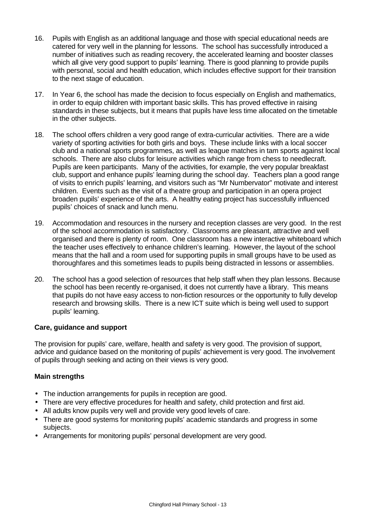- 16. Pupils with English as an additional language and those with special educational needs are catered for very well in the planning for lessons. The school has successfully introduced a number of initiatives such as reading recovery, the accelerated learning and booster classes which all give very good support to pupils' learning. There is good planning to provide pupils with personal, social and health education, which includes effective support for their transition to the next stage of education.
- 17. In Year 6, the school has made the decision to focus especially on English and mathematics, in order to equip children with important basic skills. This has proved effective in raising standards in these subjects, but it means that pupils have less time allocated on the timetable in the other subjects.
- 18. The school offers children a very good range of extra-curricular activities. There are a wide variety of sporting activities for both girls and boys. These include links with a local soccer club and a national sports programmes, as well as league matches in tam sports against local schools. There are also clubs for leisure activities which range from chess to needlecraft. Pupils are keen participants. Many of the activities, for example, the very popular breakfast club, support and enhance pupils' learning during the school day. Teachers plan a good range of visits to enrich pupils' learning, and visitors such as "Mr Numbervator" motivate and interest children. Events such as the visit of a theatre group and participation in an opera project broaden pupils' experience of the arts. A healthy eating project has successfully influenced pupils' choices of snack and lunch menu.
- 19. Accommodation and resources in the nursery and reception classes are very good. In the rest of the school accommodation is satisfactory. Classrooms are pleasant, attractive and well organised and there is plenty of room. One classroom has a new interactive whiteboard which the teacher uses effectively to enhance children's learning. However, the layout of the school means that the hall and a room used for supporting pupils in small groups have to be used as thoroughfares and this sometimes leads to pupils being distracted in lessons or assemblies.
- 20. The school has a good selection of resources that help staff when they plan lessons. Because the school has been recently re-organised, it does not currently have a library. This means that pupils do not have easy access to non-fiction resources or the opportunity to fully develop research and browsing skills. There is a new ICT suite which is being well used to support pupils' learning.

## **Care, guidance and support**

The provision for pupils' care, welfare, health and safety is very good. The provision of support, advice and guidance based on the monitoring of pupils' achievement is very good. The involvement of pupils through seeking and acting on their views is very good.

## **Main strengths**

- The induction arrangements for pupils in reception are good.
- There are very effective procedures for health and safety, child protection and first aid.
- All adults know pupils very well and provide very good levels of care.
- There are good systems for monitoring pupils' academic standards and progress in some subjects.
- Arrangements for monitoring pupils' personal development are very good.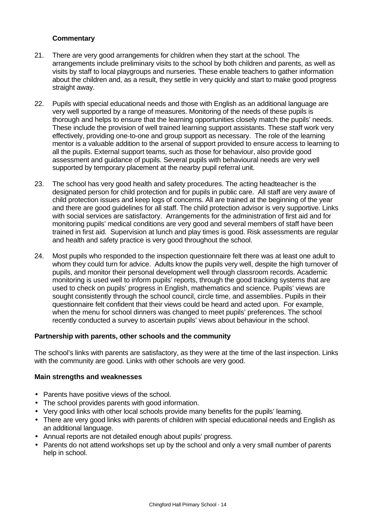## **Commentary**

- 21. There are very good arrangements for children when they start at the school. The arrangements include preliminary visits to the school by both children and parents, as well as visits by staff to local playgroups and nurseries. These enable teachers to gather information about the children and, as a result, they settle in very quickly and start to make good progress straight away.
- 22. Pupils with special educational needs and those with English as an additional language are very well supported by a range of measures. Monitoring of the needs of these pupils is thorough and helps to ensure that the learning opportunities closely match the pupils' needs. These include the provision of well trained learning support assistants. These staff work very effectively, providing one-to-one and group support as necessary. The role of the learning mentor is a valuable addition to the arsenal of support provided to ensure access to learning to all the pupils. External support teams, such as those for behaviour, also provide good assessment and guidance of pupils. Several pupils with behavioural needs are very well supported by temporary placement at the nearby pupil referral unit.
- 23. The school has very good health and safety procedures. The acting headteacher is the designated person for child protection and for pupils in public care. All staff are very aware of child protection issues and keep logs of concerns. All are trained at the beginning of the year and there are good guidelines for all staff. The child protection advisor is very supportive. Links with social services are satisfactory. Arrangements for the administration of first aid and for monitoring pupils' medical conditions are very good and several members of staff have been trained in first aid. Supervision at lunch and play times is good. Risk assessments are regular and health and safety practice is very good throughout the school.
- 24. Most pupils who responded to the inspection questionnaire felt there was at least one adult to whom they could turn for advice. Adults know the pupils very well, despite the high turnover of pupils, and monitor their personal development well through classroom records. Academic monitoring is used well to inform pupils' reports, through the good tracking systems that are used to check on pupils' progress in English, mathematics and science. Pupils' views are sought consistently through the school council, circle time, and assemblies. Pupils in their questionnaire felt confident that their views could be heard and acted upon. For example, when the menu for school dinners was changed to meet pupils' preferences. The school recently conducted a survey to ascertain pupils' views about behaviour in the school.

## **Partnership with parents, other schools and the community**

The school's links with parents are satisfactory, as they were at the time of the last inspection. Links with the community are good. Links with other schools are very good.

## **Main strengths and weaknesses**

- Parents have positive views of the school.
- The school provides parents with good information.
- Very good links with other local schools provide many benefits for the pupils' learning.
- There are very good links with parents of children with special educational needs and English as an additional language.
- Annual reports are not detailed enough about pupils' progress.
- Parents do not attend workshops set up by the school and only a very small number of parents help in school.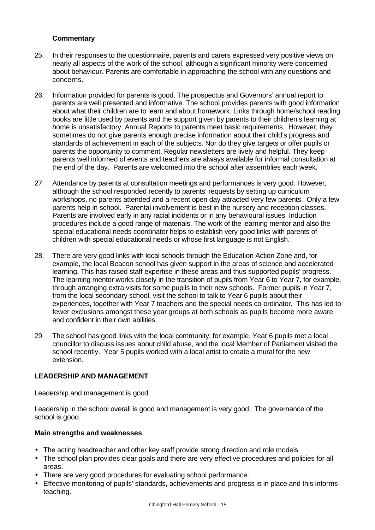## **Commentary**

- 25. In their responses to the questionnaire, parents and carers expressed very positive views on nearly all aspects of the work of the school, although a significant minority were concerned about behaviour. Parents are comfortable in approaching the school with any questions and concerns.
- 26. Information provided for parents is good. The prospectus and Governors' annual report to parents are well presented and informative. The school provides parents with good information about what their children are to learn and about homework. Links through home/school reading books are little used by parents and the support given by parents to their children's learning at home is unsatisfactory. Annual Reports to parents meet basic requirements. However, they sometimes do not give parents enough precise information about their child's progress and standards of achievement in each of the subjects. Nor do they give targets or offer pupils or parents the opportunity to comment. Regular newsletters are lively and helpful. They keep parents well informed of events and teachers are always available for informal consultation at the end of the day. Parents are welcomed into the school after assemblies each week.
- 27. Attendance by parents at consultation meetings and performances is very good. However, although the school responded recently to parents' requests by setting up curriculum workshops, no parents attended and a recent open day attracted very few parents. Only a few parents help in school. Parental involvement is best in the nursery and reception classes. Parents are involved early in any racial incidents or in any behavioural issues. Induction procedures include a good range of materials. The work of the learning mentor and also the special educational needs coordinator helps to establish very good links with parents of children with special educational needs or whose first language is not English.
- 28. There are very good links with local schools through the Education Action Zone and, for example, the local Beacon school has given support in the areas of science and accelerated learning. This has raised staff expertise in these areas and thus supported pupils' progress. The learning mentor works closely in the transition of pupils from Year 6 to Year 7, for example, through arranging extra visits for some pupils to their new schools. Former pupils in Year 7, from the local secondary school, visit the school to talk to Year 6 pupils about their experiences, together with Year 7 teachers and the special needs co-ordinator. This has led to fewer exclusions amongst these year groups at both schools as pupils become more aware and confident in their own abilities.
- 29. The school has good links with the local community: for example, Year 6 pupils met a local councillor to discuss issues about child abuse, and the local Member of Parliament visited the school recently. Year 5 pupils worked with a local artist to create a mural for the new extension.

## **LEADERSHIP AND MANAGEMENT**

Leadership and management is good.

Leadership in the school overall is good and management is very good. The governance of the school is good.

## **Main strengths and weaknesses**

- The acting headteacher and other key staff provide strong direction and role models.
- The school plan provides clear goals and there are very effective procedures and policies for all areas.
- There are very good procedures for evaluating school performance.
- Effective monitoring of pupils' standards, achievements and progress is in place and this informs teaching.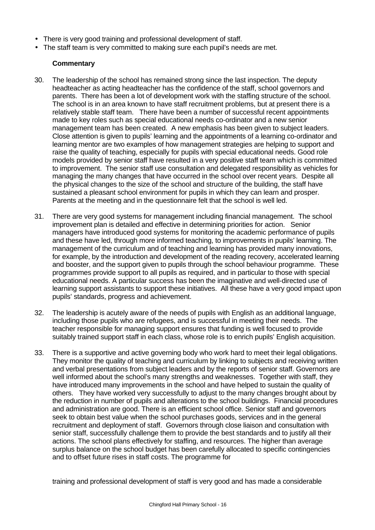- There is very good training and professional development of staff.
- The staff team is very committed to making sure each pupil's needs are met.

## **Commentary**

- 30. The leadership of the school has remained strong since the last inspection. The deputy headteacher as acting headteacher has the confidence of the staff, school governors and parents. There has been a lot of development work with the staffing structure of the school. The school is in an area known to have staff recruitment problems, but at present there is a relatively stable staff team. There have been a number of successful recent appointments made to key roles such as special educational needs co-ordinator and a new senior management team has been created. A new emphasis has been given to subject leaders. Close attention is given to pupils' learning and the appointments of a learning co-ordinator and learning mentor are two examples of how management strategies are helping to support and raise the quality of teaching, especially for pupils with special educational needs. Good role models provided by senior staff have resulted in a very positive staff team which is committed to improvement. The senior staff use consultation and delegated responsibility as vehicles for managing the many changes that have occurred in the school over recent years. Despite all the physical changes to the size of the school and structure of the building, the staff have sustained a pleasant school environment for pupils in which they can learn and prosper. Parents at the meeting and in the questionnaire felt that the school is well led.
- 31. There are very good systems for management including financial management. The school improvement plan is detailed and effective in determining priorities for action. Senior managers have introduced good systems for monitoring the academic performance of pupils and these have led, through more informed teaching, to improvements in pupils' learning. The management of the curriculum and of teaching and learning has provided many innovations, for example, by the introduction and development of the reading recovery, accelerated learning and booster, and the support given to pupils through the school behaviour programme. These programmes provide support to all pupils as required, and in particular to those with special educational needs. A particular success has been the imaginative and well-directed use of learning support assistants to support these initiatives. All these have a very good impact upon pupils' standards, progress and achievement.
- 32. The leadership is acutely aware of the needs of pupils with English as an additional language, including those pupils who are refugees, and is successful in meeting their needs. The teacher responsible for managing support ensures that funding is well focused to provide suitably trained support staff in each class, whose role is to enrich pupils' English acquisition.
- 33. There is a supportive and active governing body who work hard to meet their legal obligations. They monitor the quality of teaching and curriculum by linking to subjects and receiving written and verbal presentations from subject leaders and by the reports of senior staff. Governors are well informed about the school's many strengths and weaknesses. Together with staff, they have introduced many improvements in the school and have helped to sustain the quality of others. They have worked very successfully to adjust to the many changes brought about by the reduction in number of pupils and alterations to the school buildings. Financial procedures and administration are good. There is an efficient school office. Senior staff and governors seek to obtain best value when the school purchases goods, services and in the general recruitment and deployment of staff. Governors through close liaison and consultation with senior staff, successfully challenge them to provide the best standards and to justify all their actions. The school plans effectively for staffing, and resources. The higher than average surplus balance on the school budget has been carefully allocated to specific contingencies and to offset future rises in staff costs. The programme for

training and professional development of staff is very good and has made a considerable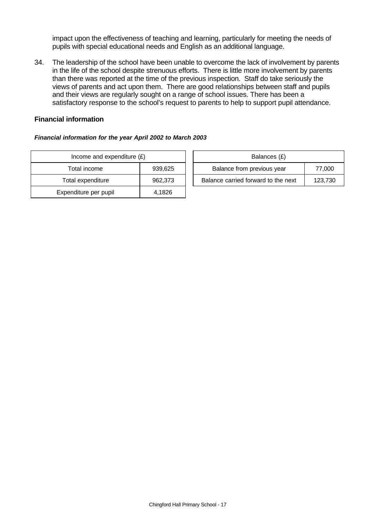impact upon the effectiveness of teaching and learning, particularly for meeting the needs of pupils with special educational needs and English as an additional language.

34. The leadership of the school have been unable to overcome the lack of involvement by parents in the life of the school despite strenuous efforts. There is little more involvement by parents than there was reported at the time of the previous inspection. Staff do take seriously the views of parents and act upon them. There are good relationships between staff and pupils and their views are regularly sought on a range of school issues. There has been a satisfactory response to the school's request to parents to help to support pupil attendance.

#### **Financial information**

#### *Financial information for the year April 2002 to March 2003*

| Income and expenditure $(E)$ |         | Balances (£)                     |
|------------------------------|---------|----------------------------------|
| Total income                 | 939,625 | Balance from previous year       |
| Total expenditure            | 962,373 | Balance carried forward to the i |
| Expenditure per pupil        | 4.1826  |                                  |

| Income and expenditure $(E)$ |         | Balances (£)                        |         |  |  |
|------------------------------|---------|-------------------------------------|---------|--|--|
| Total income                 | 939.625 | Balance from previous year          | 77.000  |  |  |
| Total expenditure            | 962.373 | Balance carried forward to the next | 123.730 |  |  |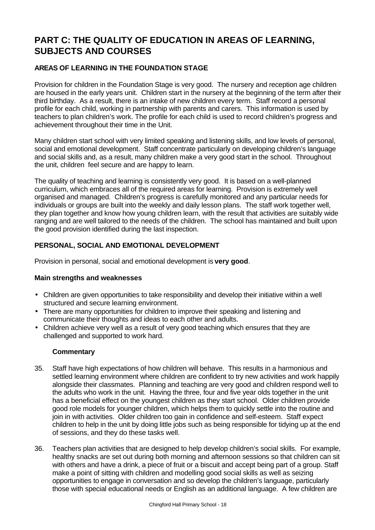# **PART C: THE QUALITY OF EDUCATION IN AREAS OF LEARNING, SUBJECTS AND COURSES**

## **AREAS OF LEARNING IN THE FOUNDATION STAGE**

Provision for children in the Foundation Stage is very good. The nursery and reception age children are housed in the early years unit. Children start in the nursery at the beginning of the term after their third birthday. As a result, there is an intake of new children every term. Staff record a personal profile for each child, working in partnership with parents and carers. This information is used by teachers to plan children's work. The profile for each child is used to record children's progress and achievement throughout their time in the Unit.

Many children start school with very limited speaking and listening skills, and low levels of personal, social and emotional development. Staff concentrate particularly on developing children's language and social skills and, as a result, many children make a very good start in the school. Throughout the unit, children feel secure and are happy to learn.

The quality of teaching and learning is consistently very good. It is based on a well-planned curriculum, which embraces all of the required areas for learning. Provision is extremely well organised and managed. Children's progress is carefully monitored and any particular needs for individuals or groups are built into the weekly and daily lesson plans. The staff work together well, they plan together and know how young children learn, with the result that activities are suitably wide ranging and are well tailored to the needs of the children. The school has maintained and built upon the good provision identified during the last inspection.

## **PERSONAL, SOCIAL AND EMOTIONAL DEVELOPMENT**

Provision in personal, social and emotional development is **very good**.

## **Main strengths and weaknesses**

- Children are given opportunities to take responsibility and develop their initiative within a well structured and secure learning environment.
- There are many opportunities for children to improve their speaking and listening and communicate their thoughts and ideas to each other and adults.
- Children achieve very well as a result of very good teaching which ensures that they are challenged and supported to work hard.

- 35. Staff have high expectations of how children will behave. This results in a harmonious and settled learning environment where children are confident to try new activities and work happily alongside their classmates. Planning and teaching are very good and children respond well to the adults who work in the unit. Having the three, four and five year olds together in the unit has a beneficial effect on the youngest children as they start school. Older children provide good role models for younger children, which helps them to quickly settle into the routine and join in with activities. Older children too gain in confidence and self-esteem. Staff expect children to help in the unit by doing little jobs such as being responsible for tidying up at the end of sessions, and they do these tasks well.
- 36. Teachers plan activities that are designed to help develop children's social skills. For example, healthy snacks are set out during both morning and afternoon sessions so that children can sit with others and have a drink, a piece of fruit or a biscuit and accept being part of a group. Staff make a point of sitting with children and modelling good social skills as well as seizing opportunities to engage in conversation and so develop the children's language, particularly those with special educational needs or English as an additional language. A few children are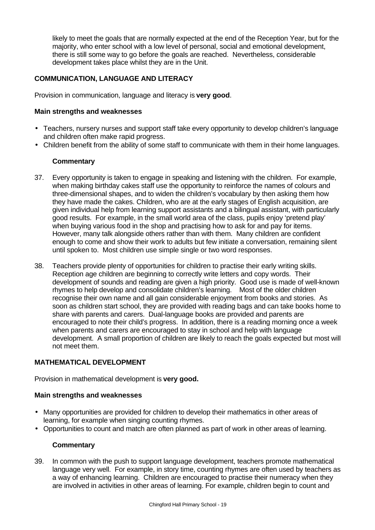likely to meet the goals that are normally expected at the end of the Reception Year, but for the majority, who enter school with a low level of personal, social and emotional development, there is still some way to go before the goals are reached. Nevertheless, considerable development takes place whilst they are in the Unit.

## **COMMUNICATION, LANGUAGE AND LITERACY**

Provision in communication, language and literacy is **very good**.

## **Main strengths and weaknesses**

- Teachers, nursery nurses and support staff take every opportunity to develop children's language and children often make rapid progress.
- Children benefit from the ability of some staff to communicate with them in their home languages.

## **Commentary**

- 37. Every opportunity is taken to engage in speaking and listening with the children. For example, when making birthday cakes staff use the opportunity to reinforce the names of colours and three-dimensional shapes, and to widen the children's vocabulary by then asking them how they have made the cakes. Children, who are at the early stages of English acquisition, are given individual help from learning support assistants and a bilingual assistant, with particularly good results. For example, in the small world area of the class, pupils enjoy 'pretend play' when buying various food in the shop and practising how to ask for and pay for items. However, many talk alongside others rather than with them. Many children are confident enough to come and show their work to adults but few initiate a conversation, remaining silent until spoken to. Most children use simple single or two word responses.
- 38. Teachers provide plenty of opportunities for children to practise their early writing skills. Reception age children are beginning to correctly write letters and copy words. Their development of sounds and reading are given a high priority. Good use is made of well-known rhymes to help develop and consolidate children's learning. Most of the older children recognise their own name and all gain considerable enjoyment from books and stories. As soon as children start school, they are provided with reading bags and can take books home to share with parents and carers. Dual-language books are provided and parents are encouraged to note their child's progress. In addition, there is a reading morning once a week when parents and carers are encouraged to stay in school and help with language development. A small proportion of children are likely to reach the goals expected but most will not meet them.

## **MATHEMATICAL DEVELOPMENT**

Provision in mathematical development is **very good.**

## **Main strengths and weaknesses**

- Many opportunities are provided for children to develop their mathematics in other areas of learning, for example when singing counting rhymes.
- Opportunities to count and match are often planned as part of work in other areas of learning.

## **Commentary**

39. In common with the push to support language development, teachers promote mathematical language very well. For example, in story time, counting rhymes are often used by teachers as a way of enhancing learning. Children are encouraged to practise their numeracy when they are involved in activities in other areas of learning. For example, children begin to count and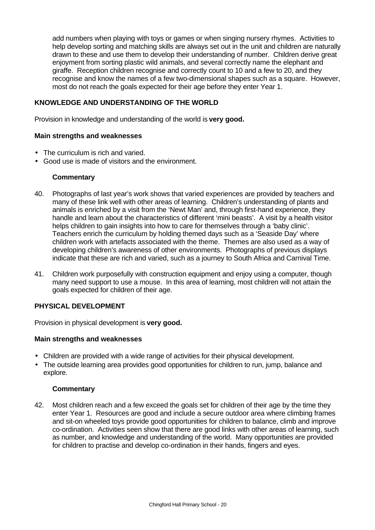add numbers when playing with toys or games or when singing nursery rhymes. Activities to help develop sorting and matching skills are always set out in the unit and children are naturally drawn to these and use them to develop their understanding of number. Children derive great enjoyment from sorting plastic wild animals, and several correctly name the elephant and giraffe. Reception children recognise and correctly count to 10 and a few to 20, and they recognise and know the names of a few two-dimensional shapes such as a square. However, most do not reach the goals expected for their age before they enter Year 1.

## **KNOWLEDGE AND UNDERSTANDING OF THE WORLD**

Provision in knowledge and understanding of the world is **very good.**

#### **Main strengths and weaknesses**

- The curriculum is rich and varied.
- Good use is made of visitors and the environment.

#### **Commentary**

- 40. Photographs of last year's work shows that varied experiences are provided by teachers and many of these link well with other areas of learning. Children's understanding of plants and animals is enriched by a visit from the 'Newt Man' and, through first-hand experience, they handle and learn about the characteristics of different 'mini beasts'. A visit by a health visitor helps children to gain insights into how to care for themselves through a 'baby clinic'. Teachers enrich the curriculum by holding themed days such as a 'Seaside Day' where children work with artefacts associated with the theme. Themes are also used as a way of developing children's awareness of other environments. Photographs of previous displays indicate that these are rich and varied, such as a journey to South Africa and Carnival Time.
- 41. Children work purposefully with construction equipment and enjoy using a computer, though many need support to use a mouse. In this area of learning, most children will not attain the goals expected for children of their age.

## **PHYSICAL DEVELOPMENT**

Provision in physical development is **very good.**

#### **Main strengths and weaknesses**

- Children are provided with a wide range of activities for their physical development.
- The outside learning area provides good opportunities for children to run, jump, balance and explore.

#### **Commentary**

42. Most children reach and a few exceed the goals set for children of their age by the time they enter Year 1. Resources are good and include a secure outdoor area where climbing frames and sit-on wheeled toys provide good opportunities for children to balance, climb and improve co-ordination. Activities seen show that there are good links with other areas of learning, such as number, and knowledge and understanding of the world. Many opportunities are provided for children to practise and develop co-ordination in their hands, fingers and eyes.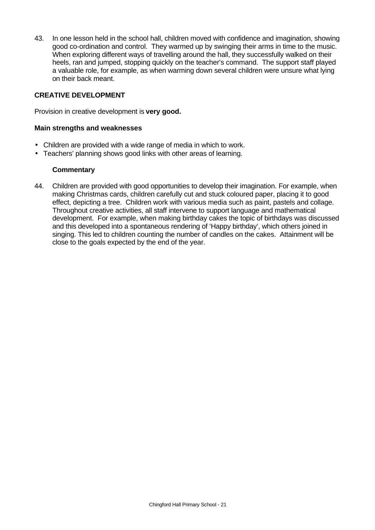43. In one lesson held in the school hall, children moved with confidence and imagination, showing good co-ordination and control. They warmed up by swinging their arms in time to the music. When exploring different ways of travelling around the hall, they successfully walked on their heels, ran and jumped, stopping quickly on the teacher's command. The support staff played a valuable role, for example, as when warming down several children were unsure what lying on their back meant.

## **CREATIVE DEVELOPMENT**

Provision in creative development is **very good.**

#### **Main strengths and weaknesses**

- Children are provided with a wide range of media in which to work.
- Teachers' planning shows good links with other areas of learning.

#### **Commentary**

44. Children are provided with good opportunities to develop their imagination. For example, when making Christmas cards, children carefully cut and stuck coloured paper, placing it to good effect, depicting a tree. Children work with various media such as paint, pastels and collage. Throughout creative activities, all staff intervene to support language and mathematical development. For example, when making birthday cakes the topic of birthdays was discussed and this developed into a spontaneous rendering of 'Happy birthday', which others joined in singing. This led to children counting the number of candles on the cakes. Attainment will be close to the goals expected by the end of the year.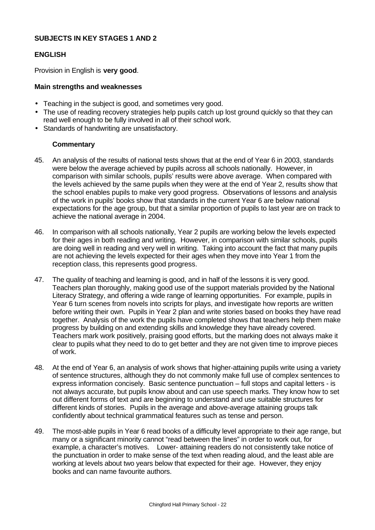## **SUBJECTS IN KEY STAGES 1 AND 2**

#### **ENGLISH**

Provision in English is **very good**.

#### **Main strengths and weaknesses**

- Teaching in the subject is good, and sometimes very good.
- The use of reading recovery strategies help pupils catch up lost ground quickly so that they can read well enough to be fully involved in all of their school work.
- Standards of handwriting are unsatisfactory.

- 45. An analysis of the results of national tests shows that at the end of Year 6 in 2003, standards were below the average achieved by pupils across all schools nationally. However, in comparison with similar schools, pupils' results were above average. When compared with the levels achieved by the same pupils when they were at the end of Year 2, results show that the school enables pupils to make very good progress. Observations of lessons and analysis of the work in pupils' books show that standards in the current Year 6 are below national expectations for the age group, but that a similar proportion of pupils to last year are on track to achieve the national average in 2004.
- 46. In comparison with all schools nationally, Year 2 pupils are working below the levels expected for their ages in both reading and writing. However, in comparison with similar schools, pupils are doing well in reading and very well in writing. Taking into account the fact that many pupils are not achieving the levels expected for their ages when they move into Year 1 from the reception class, this represents good progress.
- 47. The quality of teaching and learning is good, and in half of the lessons it is very good. Teachers plan thoroughly, making good use of the support materials provided by the National Literacy Strategy, and offering a wide range of learning opportunities. For example, pupils in Year 6 turn scenes from novels into scripts for plays, and investigate how reports are written before writing their own. Pupils in Year 2 plan and write stories based on books they have read together. Analysis of the work the pupils have completed shows that teachers help them make progress by building on and extending skills and knowledge they have already covered. Teachers mark work positively, praising good efforts, but the marking does not always make it clear to pupils what they need to do to get better and they are not given time to improve pieces of work.
- 48. At the end of Year 6, an analysis of work shows that higher-attaining pupils write using a variety of sentence structures, although they do not commonly make full use of complex sentences to express information concisely. Basic sentence punctuation – full stops and capital letters - is not always accurate, but pupils know about and can use speech marks. They know how to set out different forms of text and are beginning to understand and use suitable structures for different kinds of stories. Pupils in the average and above-average attaining groups talk confidently about technical grammatical features such as tense and person.
- 49. The most-able pupils in Year 6 read books of a difficulty level appropriate to their age range, but many or a significant minority cannot "read between the lines" in order to work out, for example, a character's motives. Lower- attaining readers do not consistently take notice of the punctuation in order to make sense of the text when reading aloud, and the least able are working at levels about two years below that expected for their age. However, they enjoy books and can name favourite authors.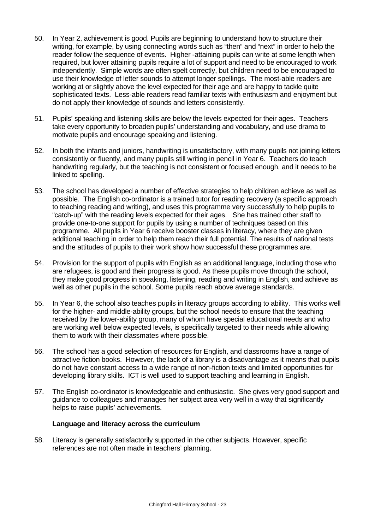- 50. In Year 2, achievement is good. Pupils are beginning to understand how to structure their writing, for example, by using connecting words such as "then" and "next" in order to help the reader follow the sequence of events. Higher -attaining pupils can write at some length when required, but lower attaining pupils require a lot of support and need to be encouraged to work independently. Simple words are often spelt correctly, but children need to be encouraged to use their knowledge of letter sounds to attempt longer spellings. The most-able readers are working at or slightly above the level expected for their age and are happy to tackle quite sophisticated texts. Less-able readers read familiar texts with enthusiasm and enjoyment but do not apply their knowledge of sounds and letters consistently.
- 51. Pupils' speaking and listening skills are below the levels expected for their ages. Teachers take every opportunity to broaden pupils' understanding and vocabulary, and use drama to motivate pupils and encourage speaking and listening.
- 52. In both the infants and juniors, handwriting is unsatisfactory, with many pupils not joining letters consistently or fluently, and many pupils still writing in pencil in Year 6. Teachers do teach handwriting regularly, but the teaching is not consistent or focused enough, and it needs to be linked to spelling.
- 53. The school has developed a number of effective strategies to help children achieve as well as possible. The English co-ordinator is a trained tutor for reading recovery (a specific approach to teaching reading and writing), and uses this programme very successfully to help pupils to "catch-up" with the reading levels expected for their ages. She has trained other staff to provide one-to-one support for pupils by using a number of techniques based on this programme. All pupils in Year 6 receive booster classes in literacy, where they are given additional teaching in order to help them reach their full potential. The results of national tests and the attitudes of pupils to their work show how successful these programmes are.
- 54. Provision for the support of pupils with English as an additional language, including those who are refugees, is good and their progress is good. As these pupils move through the school, they make good progress in speaking, listening, reading and writing in English, and achieve as well as other pupils in the school. Some pupils reach above average standards.
- 55. In Year 6, the school also teaches pupils in literacy groups according to ability. This works well for the higher- and middle-ability groups, but the school needs to ensure that the teaching received by the lower-ability group, many of whom have special educational needs and who are working well below expected levels, is specifically targeted to their needs while allowing them to work with their classmates where possible.
- 56. The school has a good selection of resources for English, and classrooms have a range of attractive fiction books. However, the lack of a library is a disadvantage as it means that pupils do not have constant access to a wide range of non-fiction texts and limited opportunities for developing library skills. ICT is well used to support teaching and learning in English.
- 57. The English co-ordinator is knowledgeable and enthusiastic. She gives very good support and guidance to colleagues and manages her subject area very well in a way that significantly helps to raise pupils' achievements.

## **Language and literacy across the curriculum**

58. Literacy is generally satisfactorily supported in the other subjects. However, specific references are not often made in teachers' planning.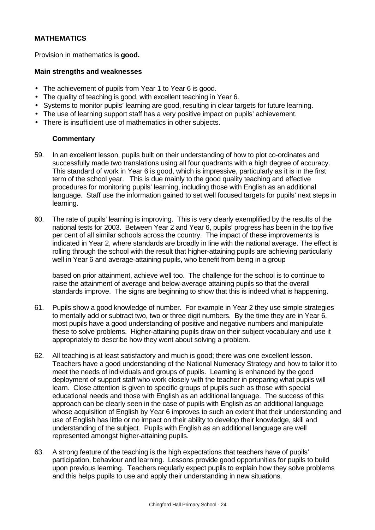## **MATHEMATICS**

Provision in mathematics is **good.**

#### **Main strengths and weaknesses**

- The achievement of pupils from Year 1 to Year 6 is good.
- The quality of teaching is good, with excellent teaching in Year 6.
- Systems to monitor pupils' learning are good, resulting in clear targets for future learning.
- The use of learning support staff has a very positive impact on pupils' achievement.
- There is insufficient use of mathematics in other subjects.

## **Commentary**

- 59. In an excellent lesson, pupils built on their understanding of how to plot co-ordinates and successfully made two translations using all four quadrants with a high degree of accuracy. This standard of work in Year 6 is good, which is impressive, particularly as it is in the first term of the school year. This is due mainly to the good quality teaching and effective procedures for monitoring pupils' learning, including those with English as an additional language. Staff use the information gained to set well focused targets for pupils' next steps in learning.
- 60. The rate of pupils' learning is improving. This is very clearly exemplified by the results of the national tests for 2003. Between Year 2 and Year 6, pupils' progress has been in the top five per cent of all similar schools across the country. The impact of these improvements is indicated in Year 2, where standards are broadly in line with the national average. The effect is rolling through the school with the result that higher-attaining pupils are achieving particularly well in Year 6 and average-attaining pupils, who benefit from being in a group

based on prior attainment, achieve well too. The challenge for the school is to continue to raise the attainment of average and below-average attaining pupils so that the overall standards improve. The signs are beginning to show that this is indeed what is happening.

- 61. Pupils show a good knowledge of number. For example in Year 2 they use simple strategies to mentally add or subtract two, two or three digit numbers. By the time they are in Year 6, most pupils have a good understanding of positive and negative numbers and manipulate these to solve problems. Higher-attaining pupils draw on their subject vocabulary and use it appropriately to describe how they went about solving a problem.
- 62. All teaching is at least satisfactory and much is good; there was one excellent lesson. Teachers have a good understanding of the National Numeracy Strategy and how to tailor it to meet the needs of individuals and groups of pupils. Learning is enhanced by the good deployment of support staff who work closely with the teacher in preparing what pupils will learn. Close attention is given to specific groups of pupils such as those with special educational needs and those with English as an additional language. The success of this approach can be clearly seen in the case of pupils with English as an additional language whose acquisition of English by Year 6 improves to such an extent that their understanding and use of English has little or no impact on their ability to develop their knowledge, skill and understanding of the subject. Pupils with English as an additional language are well represented amongst higher-attaining pupils.
- 63. A strong feature of the teaching is the high expectations that teachers have of pupils' participation, behaviour and learning. Lessons provide good opportunities for pupils to build upon previous learning. Teachers regularly expect pupils to explain how they solve problems and this helps pupils to use and apply their understanding in new situations.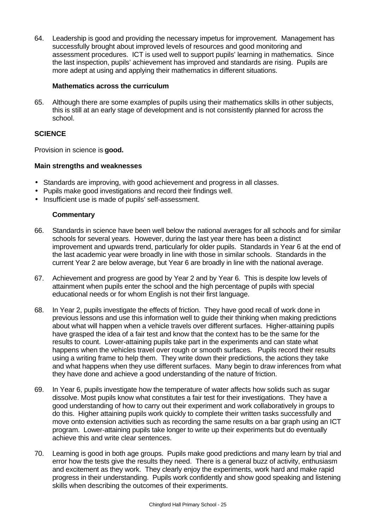64. Leadership is good and providing the necessary impetus for improvement. Management has successfully brought about improved levels of resources and good monitoring and assessment procedures. ICT is used well to support pupils' learning in mathematics. Since the last inspection, pupils' achievement has improved and standards are rising. Pupils are more adept at using and applying their mathematics in different situations.

## **Mathematics across the curriculum**

65. Although there are some examples of pupils using their mathematics skills in other subjects, this is still at an early stage of development and is not consistently planned for across the school.

## **SCIENCE**

Provision in science is **good.**

## **Main strengths and weaknesses**

- Standards are improving, with good achievement and progress in all classes.
- Pupils make good investigations and record their findings well.
- Insufficient use is made of pupils' self-assessment.

- 66. Standards in science have been well below the national averages for all schools and for similar schools for several years. However, during the last year there has been a distinct improvement and upwards trend, particularly for older pupils. Standards in Year 6 at the end of the last academic year were broadly in line with those in similar schools. Standards in the current Year 2 are below average, but Year 6 are broadly in line with the national average.
- 67. Achievement and progress are good by Year 2 and by Year 6. This is despite low levels of attainment when pupils enter the school and the high percentage of pupils with special educational needs or for whom English is not their first language.
- 68. In Year 2, pupils investigate the effects of friction. They have good recall of work done in previous lessons and use this information well to guide their thinking when making predictions about what will happen when a vehicle travels over different surfaces. Higher-attaining pupils have grasped the idea of a fair test and know that the context has to be the same for the results to count. Lower-attaining pupils take part in the experiments and can state what happens when the vehicles travel over rough or smooth surfaces. Pupils record their results using a writing frame to help them. They write down their predictions, the actions they take and what happens when they use different surfaces. Many begin to draw inferences from what they have done and achieve a good understanding of the nature of friction.
- 69. In Year 6, pupils investigate how the temperature of water affects how solids such as sugar dissolve. Most pupils know what constitutes a fair test for their investigations. They have a good understanding of how to carry out their experiment and work collaboratively in groups to do this. Higher attaining pupils work quickly to complete their written tasks successfully and move onto extension activities such as recording the same results on a bar graph using an ICT program. Lower-attaining pupils take longer to write up their experiments but do eventually achieve this and write clear sentences.
- 70. Learning is good in both age groups. Pupils make good predictions and many learn by trial and error how the tests give the results they need. There is a general buzz of activity, enthusiasm and excitement as they work. They clearly enjoy the experiments, work hard and make rapid progress in their understanding. Pupils work confidently and show good speaking and listening skills when describing the outcomes of their experiments.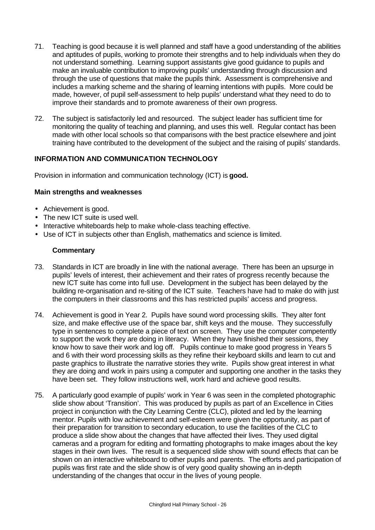- 71. Teaching is good because it is well planned and staff have a good understanding of the abilities and aptitudes of pupils, working to promote their strengths and to help individuals when they do not understand something. Learning support assistants give good guidance to pupils and make an invaluable contribution to improving pupils' understanding through discussion and through the use of questions that make the pupils think. Assessment is comprehensive and includes a marking scheme and the sharing of learning intentions with pupils. More could be made, however, of pupil self-assessment to help pupils' understand what they need to do to improve their standards and to promote awareness of their own progress.
- 72. The subject is satisfactorily led and resourced. The subject leader has sufficient time for monitoring the quality of teaching and planning, and uses this well. Regular contact has been made with other local schools so that comparisons with the best practice elsewhere and joint training have contributed to the development of the subject and the raising of pupils' standards.

## **INFORMATION AND COMMUNICATION TECHNOLOGY**

Provision in information and communication technology (ICT) is **good.**

## **Main strengths and weaknesses**

- Achievement is good.
- The new ICT suite is used well.
- Interactive whiteboards help to make whole-class teaching effective.
- Use of ICT in subjects other than English, mathematics and science is limited.

- 73. Standards in ICT are broadly in line with the national average. There has been an upsurge in pupils' levels of interest, their achievement and their rates of progress recently because the new ICT suite has come into full use. Development in the subject has been delayed by the building re-organisation and re-siting of the ICT suite. Teachers have had to make do with just the computers in their classrooms and this has restricted pupils' access and progress.
- 74. Achievement is good in Year 2. Pupils have sound word processing skills. They alter font size, and make effective use of the space bar, shift keys and the mouse. They successfully type in sentences to complete a piece of text on screen. They use the computer competently to support the work they are doing in literacy. When they have finished their sessions, they know how to save their work and log off. Pupils continue to make good progress in Years 5 and 6 with their word processing skills as they refine their keyboard skills and learn to cut and paste graphics to illustrate the narrative stories they write. Pupils show great interest in what they are doing and work in pairs using a computer and supporting one another in the tasks they have been set. They follow instructions well, work hard and achieve good results.
- 75. A particularly good example of pupils' work in Year 6 was seen in the completed photographic slide show about 'Transition'. This was produced by pupils as part of an Excellence in Cities project in conjunction with the City Learning Centre (CLC), piloted and led by the learning mentor. Pupils with low achievement and self-esteem were given the opportunity, as part of their preparation for transition to secondary education, to use the facilities of the CLC to produce a slide show about the changes that have affected their lives. They used digital cameras and a program for editing and formatting photographs to make images about the key stages in their own lives. The result is a sequenced slide show with sound effects that can be shown on an interactive whiteboard to other pupils and parents. The efforts and participation of pupils was first rate and the slide show is of very good quality showing an in-depth understanding of the changes that occur in the lives of young people.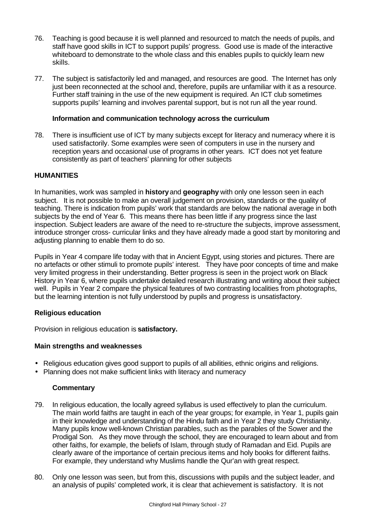- 76. Teaching is good because it is well planned and resourced to match the needs of pupils, and staff have good skills in ICT to support pupils' progress. Good use is made of the interactive whiteboard to demonstrate to the whole class and this enables pupils to quickly learn new skills.
- 77. The subject is satisfactorily led and managed, and resources are good. The Internet has only just been reconnected at the school and, therefore, pupils are unfamiliar with it as a resource. Further staff training in the use of the new equipment is required. An ICT club sometimes supports pupils' learning and involves parental support, but is not run all the year round.

## **Information and communication technology across the curriculum**

78. There is insufficient use of ICT by many subjects except for literacy and numeracy where it is used satisfactorily. Some examples were seen of computers in use in the nursery and reception years and occasional use of programs in other years. ICT does not yet feature consistently as part of teachers' planning for other subjects

## **HUMANITIES**

In humanities, work was sampled in **history** and **geography** with only one lesson seen in each subject. It is not possible to make an overall judgement on provision, standards or the quality of teaching. There is indication from pupils' work that standards are below the national average in both subjects by the end of Year 6. This means there has been little if any progress since the last inspection. Subject leaders are aware of the need to re-structure the subjects, improve assessment, introduce stronger cross- curricular links and they have already made a good start by monitoring and adjusting planning to enable them to do so.

Pupils in Year 4 compare life today with that in Ancient Egypt, using stories and pictures. There are no artefacts or other stimuli to promote pupils' interest. They have poor concepts of time and make very limited progress in their understanding. Better progress is seen in the project work on Black History in Year 6, where pupils undertake detailed research illustrating and writing about their subject well. Pupils in Year 2 compare the physical features of two contrasting localities from photographs, but the learning intention is not fully understood by pupils and progress is unsatisfactory.

## **Religious education**

Provision in religious education is **satisfactory.**

## **Main strengths and weaknesses**

- Religious education gives good support to pupils of all abilities, ethnic origins and religions.
- Planning does not make sufficient links with literacy and numeracy

- 79. In religious education, the locally agreed syllabus is used effectively to plan the curriculum. The main world faiths are taught in each of the year groups; for example, in Year 1, pupils gain in their knowledge and understanding of the Hindu faith and in Year 2 they study Christianity. Many pupils know well-known Christian parables, such as the parables of the Sower and the Prodigal Son. As they move through the school, they are encouraged to learn about and from other faiths, for example, the beliefs of Islam, through study of Ramadan and Eid. Pupils are clearly aware of the importance of certain precious items and holy books for different faiths. For example, they understand why Muslims handle the Qur'an with great respect.
- 80. Only one lesson was seen, but from this, discussions with pupils and the subject leader, and an analysis of pupils' completed work, it is clear that achievement is satisfactory. It is not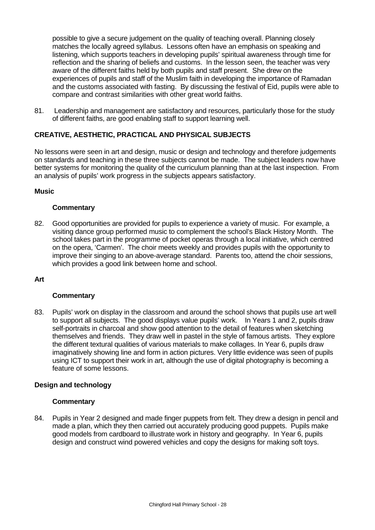possible to give a secure judgement on the quality of teaching overall. Planning closely matches the locally agreed syllabus. Lessons often have an emphasis on speaking and listening, which supports teachers in developing pupils' spiritual awareness through time for reflection and the sharing of beliefs and customs. In the lesson seen, the teacher was very aware of the different faiths held by both pupils and staff present. She drew on the experiences of pupils and staff of the Muslim faith in developing the importance of Ramadan and the customs associated with fasting. By discussing the festival of Eid, pupils were able to compare and contrast similarities with other great world faiths.

81. Leadership and management are satisfactory and resources, particularly those for the study of different faiths, are good enabling staff to support learning well.

## **CREATIVE, AESTHETIC, PRACTICAL AND PHYSICAL SUBJECTS**

No lessons were seen in art and design, music or design and technology and therefore judgements on standards and teaching in these three subjects cannot be made. The subject leaders now have better systems for monitoring the quality of the curriculum planning than at the last inspection. From an analysis of pupils' work progress in the subjects appears satisfactory.

#### **Music**

#### **Commentary**

82. Good opportunities are provided for pupils to experience a variety of music. For example, a visiting dance group performed music to complement the school's Black History Month. The school takes part in the programme of pocket operas through a local initiative, which centred on the opera, 'Carmen'. The choir meets weekly and provides pupils with the opportunity to improve their singing to an above-average standard. Parents too, attend the choir sessions, which provides a good link between home and school.

#### **Art**

## **Commentary**

83. Pupils' work on display in the classroom and around the school shows that pupils use art well to support all subjects. The good displays value pupils' work. In Years 1 and 2, pupils draw self-portraits in charcoal and show good attention to the detail of features when sketching themselves and friends. They draw well in pastel in the style of famous artists. They explore the different textural qualities of various materials to make collages. In Year 6, pupils draw imaginatively showing line and form in action pictures. Very little evidence was seen of pupils using ICT to support their work in art, although the use of digital photography is becoming a feature of some lessons.

#### **Design and technology**

#### **Commentary**

84. Pupils in Year 2 designed and made finger puppets from felt. They drew a design in pencil and made a plan, which they then carried out accurately producing good puppets. Pupils make good models from cardboard to illustrate work in history and geography. In Year 6, pupils design and construct wind powered vehicles and copy the designs for making soft toys.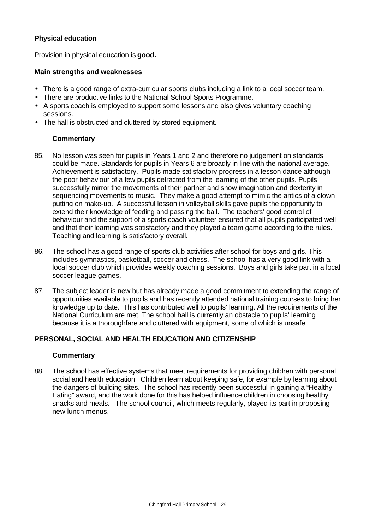## **Physical education**

Provision in physical education is **good.**

#### **Main strengths and weaknesses**

- There is a good range of extra-curricular sports clubs including a link to a local soccer team.
- There are productive links to the National School Sports Programme.
- A sports coach is employed to support some lessons and also gives voluntary coaching sessions.
- The hall is obstructed and cluttered by stored equipment.

## **Commentary**

- 85. No lesson was seen for pupils in Years 1 and 2 and therefore no judgement on standards could be made. Standards for pupils in Years 6 are broadly in line with the national average. Achievement is satisfactory. Pupils made satisfactory progress in a lesson dance although the poor behaviour of a few pupils detracted from the learning of the other pupils. Pupils successfully mirror the movements of their partner and show imagination and dexterity in sequencing movements to music. They make a good attempt to mimic the antics of a clown putting on make-up. A successful lesson in volleyball skills gave pupils the opportunity to extend their knowledge of feeding and passing the ball. The teachers' good control of behaviour and the support of a sports coach volunteer ensured that all pupils participated well and that their learning was satisfactory and they played a team game according to the rules. Teaching and learning is satisfactory overall.
- 86. The school has a good range of sports club activities after school for boys and girls. This includes gymnastics, basketball, soccer and chess. The school has a very good link with a local soccer club which provides weekly coaching sessions. Boys and girls take part in a local soccer league games.
- 87. The subject leader is new but has already made a good commitment to extending the range of opportunities available to pupils and has recently attended national training courses to bring her knowledge up to date. This has contributed well to pupils' learning. All the requirements of the National Curriculum are met. The school hall is currently an obstacle to pupils' learning because it is a thoroughfare and cluttered with equipment, some of which is unsafe.

## **PERSONAL, SOCIAL AND HEALTH EDUCATION AND CITIZENSHIP**

#### **Commentary**

88. The school has effective systems that meet requirements for providing children with personal, social and health education. Children learn about keeping safe, for example by learning about the dangers of building sites. The school has recently been successful in gaining a "Healthy Eating" award, and the work done for this has helped influence children in choosing healthy snacks and meals. The school council, which meets regularly, played its part in proposing new lunch menus.